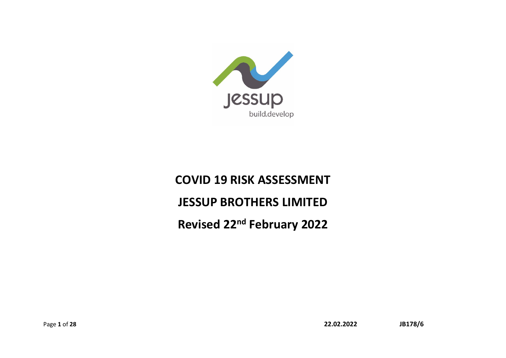

# **COVID 19 RISK ASSESSMENT JESSUP BROTHERS LIMITED Revised 22nd February 2022**

Page **1** of **28 22.02.2022 JB178/6**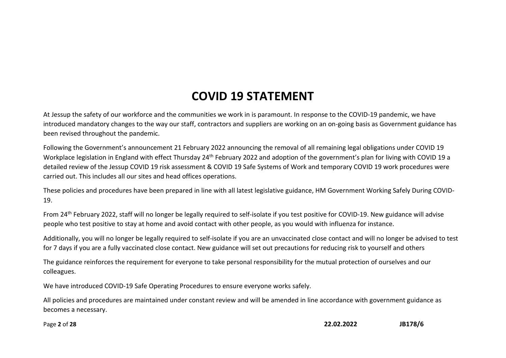## **COVID 19 STATEMENT**

At Jessup the safety of our workforce and the communities we work in is paramount. In response to the COVID-19 pandemic, we have introduced mandatory changes to the way our staff, contractors and suppliers are working on an on-going basis as Government guidance has been revised throughout the pandemic.

Following the Government's announcement 21 February 2022 announcing the removal of all remaining legal obligations under COVID 19 Workplace legislation in England with effect Thursday 24<sup>th</sup> February 2022 and adoption of the government's plan for living with COVID 19 a detailed review of the Jessup COVID 19 risk assessment & COVID 19 Safe Systems of Work and temporary COVID 19 work procedures were carried out. This includes all our sites and head offices operations.

These policies and procedures have been prepared in line with all latest legislative guidance, HM Government Working Safely During COVID-19.

From 24<sup>th</sup> February 2022, staff will no longer be legally required to self-isolate if you test positive for COVID-19. New guidance will advise people who test positive to stay at home and avoid contact with other people, as you would with influenza for instance.

Additionally, you will no longer be legally required to self-isolate if you are an unvaccinated close contact and will no longer be advised to test for 7 days if you are a fully vaccinated close contact. New guidance will set out precautions for reducing risk to yourself and others

The guidance reinforces the requirement for everyone to take personal responsibility for the mutual protection of ourselves and our colleagues.

We have introduced COVID-19 Safe Operating Procedures to ensure everyone works safely.

All policies and procedures are maintained under constant review and will be amended in line accordance with government guidance as becomes a necessary.

Page **2** of **28 22.02.2022 JB178/6**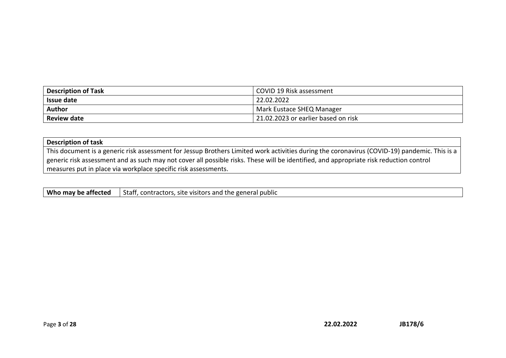| <b>Description of Task</b> | COVID 19 Risk assessment            |
|----------------------------|-------------------------------------|
| <b>Issue date</b>          | 22.02.2022                          |
| Author                     | Mark Eustace SHEQ Manager           |
| <b>Review date</b>         | 21.02.2023 or earlier based on risk |

| <b>Description of task</b>                                                                                                                   |
|----------------------------------------------------------------------------------------------------------------------------------------------|
| This document is a generic risk assessment for Jessup Brothers Limited work activities during the coronavirus (COVID-19) pandemic. This is a |
| generic risk assessment and as such may not cover all possible risks. These will be identified, and appropriate risk reduction control       |
| measures put in place via workplace specific risk assessments.                                                                               |

| Who may be affected | Stafi<br>contractors, site<br>I the general public<br>visitors and |
|---------------------|--------------------------------------------------------------------|
|---------------------|--------------------------------------------------------------------|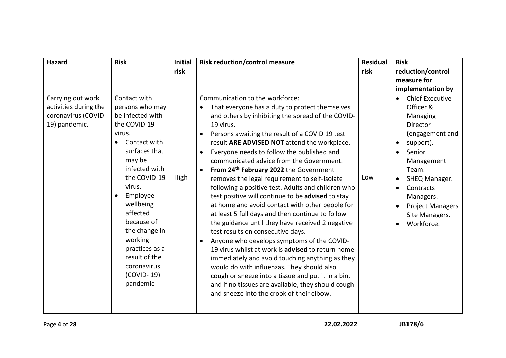| Hazard                                                                             | <b>Risk</b>                                                                                                                                                                                                                                                                                                                      | <b>Initial</b><br>risk | <b>Risk reduction/control measure</b>                                                                                                                                                                                                                                                                                                                                                                                                                                                                                                                                                                                                                                                                                                                                                                                                                                                                                                                                                                                                                                                                                                                                 | <b>Residual</b><br>risk | <b>Risk</b><br>reduction/control                                                                                                                                                                                                                        |
|------------------------------------------------------------------------------------|----------------------------------------------------------------------------------------------------------------------------------------------------------------------------------------------------------------------------------------------------------------------------------------------------------------------------------|------------------------|-----------------------------------------------------------------------------------------------------------------------------------------------------------------------------------------------------------------------------------------------------------------------------------------------------------------------------------------------------------------------------------------------------------------------------------------------------------------------------------------------------------------------------------------------------------------------------------------------------------------------------------------------------------------------------------------------------------------------------------------------------------------------------------------------------------------------------------------------------------------------------------------------------------------------------------------------------------------------------------------------------------------------------------------------------------------------------------------------------------------------------------------------------------------------|-------------------------|---------------------------------------------------------------------------------------------------------------------------------------------------------------------------------------------------------------------------------------------------------|
|                                                                                    |                                                                                                                                                                                                                                                                                                                                  |                        |                                                                                                                                                                                                                                                                                                                                                                                                                                                                                                                                                                                                                                                                                                                                                                                                                                                                                                                                                                                                                                                                                                                                                                       |                         | measure for                                                                                                                                                                                                                                             |
| Carrying out work<br>activities during the<br>coronavirus (COVID-<br>19) pandemic. | Contact with<br>persons who may<br>be infected with<br>the COVID-19<br>virus.<br>Contact with<br>surfaces that<br>may be<br>infected with<br>the COVID-19<br>virus.<br>Employee<br>wellbeing<br>affected<br>because of<br>the change in<br>working<br>practices as a<br>result of the<br>coronavirus<br>$(COVID-19)$<br>pandemic | High                   | Communication to the workforce:<br>That everyone has a duty to protect themselves<br>$\bullet$<br>and others by inhibiting the spread of the COVID-<br>19 virus.<br>Persons awaiting the result of a COVID 19 test<br>result ARE ADVISED NOT attend the workplace.<br>Everyone needs to follow the published and<br>$\bullet$<br>communicated advice from the Government.<br>From 24 <sup>th</sup> February 2022 the Government<br>$\bullet$<br>removes the legal requirement to self-isolate<br>following a positive test. Adults and children who<br>test positive will continue to be advised to stay<br>at home and avoid contact with other people for<br>at least 5 full days and then continue to follow<br>the guidance until they have received 2 negative<br>test results on consecutive days.<br>Anyone who develops symptoms of the COVID-<br>19 virus whilst at work is advised to return home<br>immediately and avoid touching anything as they<br>would do with influenzas. They should also<br>cough or sneeze into a tissue and put it in a bin,<br>and if no tissues are available, they should cough<br>and sneeze into the crook of their elbow. | Low                     | implementation by<br><b>Chief Executive</b><br>Officer &<br>Managing<br>Director<br>(engagement and<br>support).<br>Senior<br>Management<br>Team.<br>SHEQ Manager.<br>Contracts<br>Managers.<br><b>Project Managers</b><br>Site Managers.<br>Workforce. |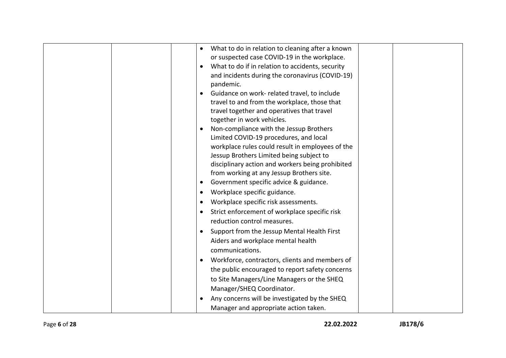|  | What to do in relation to cleaning after a known<br>or suspected case COVID-19 in the workplace.<br>What to do if in relation to accidents, security<br>and incidents during the coronavirus (COVID-19)<br>pandemic.<br>Guidance on work- related travel, to include<br>travel to and from the workplace, those that<br>travel together and operatives that travel<br>together in work vehicles.<br>Non-compliance with the Jessup Brothers<br>Limited COVID-19 procedures, and local<br>workplace rules could result in employees of the<br>Jessup Brothers Limited being subject to<br>disciplinary action and workers being prohibited<br>from working at any Jessup Brothers site.<br>Government specific advice & guidance.<br>$\bullet$<br>Workplace specific guidance.<br>Workplace specific risk assessments.<br>Strict enforcement of workplace specific risk<br>reduction control measures.<br>Support from the Jessup Mental Health First<br>Aiders and workplace mental health |
|--|--------------------------------------------------------------------------------------------------------------------------------------------------------------------------------------------------------------------------------------------------------------------------------------------------------------------------------------------------------------------------------------------------------------------------------------------------------------------------------------------------------------------------------------------------------------------------------------------------------------------------------------------------------------------------------------------------------------------------------------------------------------------------------------------------------------------------------------------------------------------------------------------------------------------------------------------------------------------------------------------|
|  |                                                                                                                                                                                                                                                                                                                                                                                                                                                                                                                                                                                                                                                                                                                                                                                                                                                                                                                                                                                            |
|  | communications.                                                                                                                                                                                                                                                                                                                                                                                                                                                                                                                                                                                                                                                                                                                                                                                                                                                                                                                                                                            |
|  | Workforce, contractors, clients and members of<br>the public encouraged to report safety concerns<br>to Site Managers/Line Managers or the SHEQ<br>Manager/SHEQ Coordinator.                                                                                                                                                                                                                                                                                                                                                                                                                                                                                                                                                                                                                                                                                                                                                                                                               |
|  | Any concerns will be investigated by the SHEQ<br>Manager and appropriate action taken.                                                                                                                                                                                                                                                                                                                                                                                                                                                                                                                                                                                                                                                                                                                                                                                                                                                                                                     |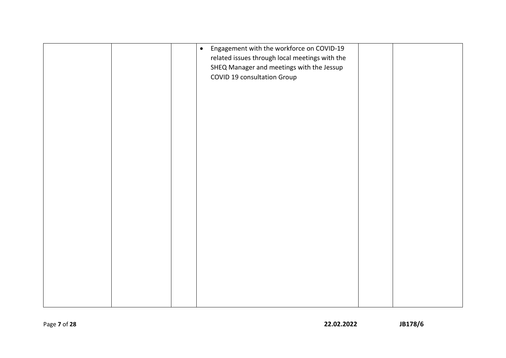|  | Engagement with the workforce on COVID-19<br>$\bullet$<br>related issues through local meetings with the<br>SHEQ Manager and meetings with the Jessup<br>COVID 19 consultation Group |  |
|--|--------------------------------------------------------------------------------------------------------------------------------------------------------------------------------------|--|
|  |                                                                                                                                                                                      |  |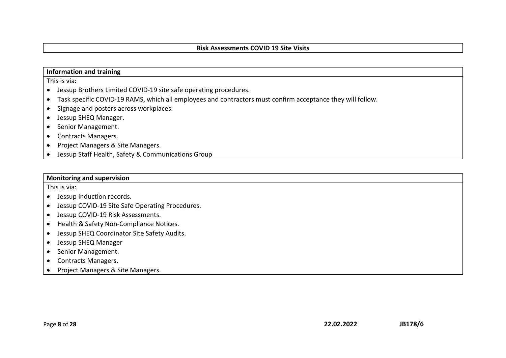#### **Risk Assessments COVID 19 Site Visits**

#### **Information and training**

This is via:

- Jessup Brothers Limited COVID-19 site safe operating procedures.
- Task specific COVID-19 RAMS, which all employees and contractors must confirm acceptance they will follow.
- Signage and posters across workplaces.
- Jessup SHEQ Manager.
- Senior Management.
- Contracts Managers.
- Project Managers & Site Managers.
- Jessup Staff Health, Safety & Communications Group

#### **Monitoring and supervision**

This is via:

- Jessup Induction records.
- Jessup COVID-19 Site Safe Operating Procedures.
- Jessup COVID-19 Risk Assessments.
- Health & Safety Non-Compliance Notices.
- Jessup SHEQ Coordinator Site Safety Audits.
- Jessup SHEQ Manager
- Senior Management.
- Contracts Managers.
- Project Managers & Site Managers.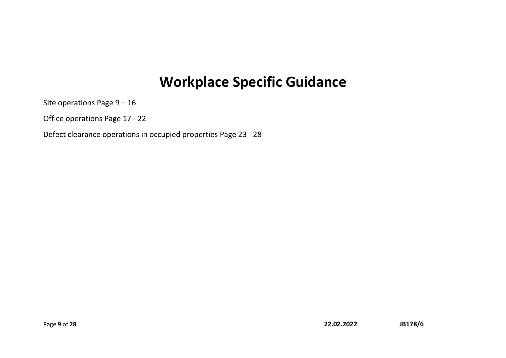## **Workplace Specific Guidance**

Site operations Page 9 – 16

Office operations Page 17 - 22

Defect clearance operations in occupied properties Page 23 - 28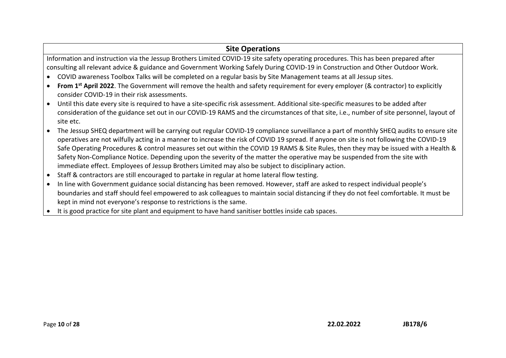## **Site Operations**

Information and instruction via the Jessup Brothers Limited COVID-19 site safety operating procedures. This has been prepared after consulting all relevant advice & guidance and Government Working Safely During COVID-19 in Construction and Other Outdoor Work.

- COVID awareness Toolbox Talks will be completed on a regular basis by Site Management teams at all Jessup sites.
- **From 1st April 2022**. The Government will remove the health and safety requirement for every employer (& contractor) to explicitly consider COVID-19 in their risk assessments.
- Until this date every site is required to have a site-specific risk assessment. Additional site-specific measures to be added after consideration of the guidance set out in our COVID-19 RAMS and the circumstances of that site, i.e., number of site personnel, layout of site etc.
- The Jessup SHEQ department will be carrying out regular COVID-19 compliance surveillance a part of monthly SHEQ audits to ensure site operatives are not wilfully acting in a manner to increase the risk of COVID 19 spread. If anyone on site is not following the COVID-19 Safe Operating Procedures & control measures set out within the COVID 19 RAMS & Site Rules, then they may be issued with a Health & Safety Non-Compliance Notice. Depending upon the severity of the matter the operative may be suspended from the site with immediate effect. Employees of Jessup Brothers Limited may also be subject to disciplinary action.
- Staff & contractors are still encouraged to partake in regular at home lateral flow testing.
- In line with Government guidance social distancing has been removed. However, staff are asked to respect individual people's boundaries and staff should feel empowered to ask colleagues to maintain social distancing if they do not feel comfortable. It must be kept in mind not everyone's response to restrictions is the same.
- It is good practice for site plant and equipment to have hand sanitiser bottles inside cab spaces.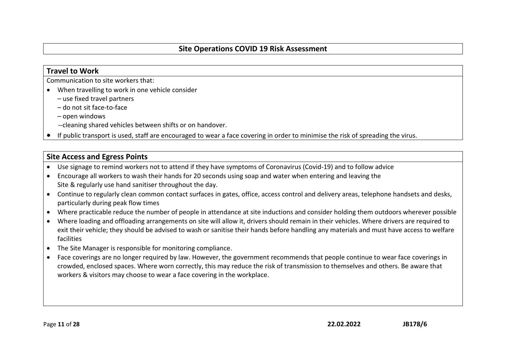### **Travel to Work**

Communication to site workers that:

- When travelling to work in one vehicle consider
	- use fixed travel partners
	- do not sit face-to-face
	- open windows
	- --cleaning shared vehicles between shifts or on handover.
- If public transport is used, staff are encouraged to wear a face covering in order to minimise the risk of spreading the virus.

## **Site Access and Egress Points**

- Use signage to remind workers not to attend if they have symptoms of Coronavirus (Covid-19) and to follow advice
- Encourage all workers to wash their hands for 20 seconds using soap and water when entering and leaving the Site & regularly use hand sanitiser throughout the day.
- Continue to regularly clean common contact surfaces in gates, office, access control and delivery areas, telephone handsets and desks, particularly during peak flow times
- Where practicable reduce the number of people in attendance at site inductions and consider holding them outdoors wherever possible
- Where loading and offloading arrangements on site will allow it, drivers should remain in their vehicles. Where drivers are required to exit their vehicle; they should be advised to wash or sanitise their hands before handling any materials and must have access to welfare facilities
- The Site Manager is responsible for monitoring compliance.
- Face coverings are no longer required by law. However, the government recommends that people continue to wear face coverings in crowded, enclosed spaces. Where worn correctly, this may reduce the risk of transmission to themselves and others. Be aware that workers & visitors may choose to wear a face covering in the workplace.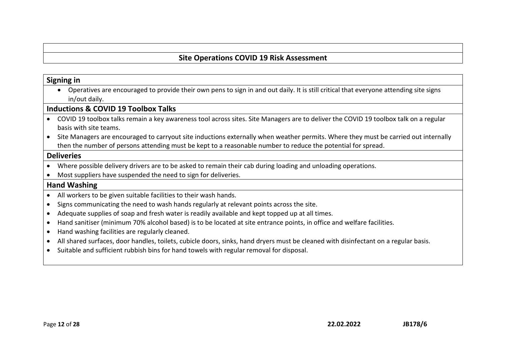#### **Signing in**

• Operatives are encouraged to provide their own pens to sign in and out daily. It is still critical that everyone attending site signs in/out daily.

#### **Inductions & COVID 19 Toolbox Talks**

- COVID 19 toolbox talks remain a key awareness tool across sites. Site Managers are to deliver the COVID 19 toolbox talk on a regular basis with site teams.
- Site Managers are encouraged to carryout site inductions externally when weather permits. Where they must be carried out internally then the number of persons attending must be kept to a reasonable number to reduce the potential for spread.

#### **Deliveries**

- Where possible delivery drivers are to be asked to remain their cab during loading and unloading operations.
- Most suppliers have suspended the need to sign for deliveries.

#### **Hand Washing**

- All workers to be given suitable facilities to their wash hands.
- Signs communicating the need to wash hands regularly at relevant points across the site.
- Adequate supplies of soap and fresh water is readily available and kept topped up at all times.
- Hand sanitiser (minimum 70% alcohol based) is to be located at site entrance points, in office and welfare facilities.
- Hand washing facilities are regularly cleaned.
- All shared surfaces, door handles, toilets, cubicle doors, sinks, hand dryers must be cleaned with disinfectant on a regular basis.
- Suitable and sufficient rubbish bins for hand towels with regular removal for disposal.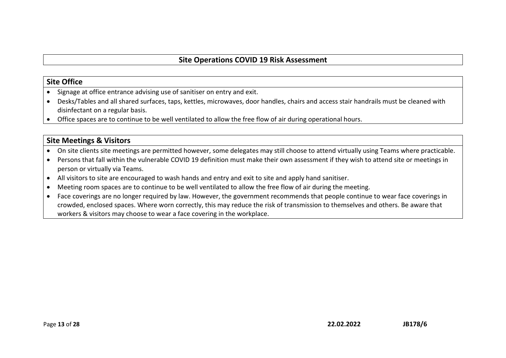### **Site Office**

- Signage at office entrance advising use of sanitiser on entry and exit.
- Desks/Tables and all shared surfaces, taps, kettles, microwaves, door handles, chairs and access stair handrails must be cleaned with disinfectant on a regular basis.
- Office spaces are to continue to be well ventilated to allow the free flow of air during operational hours.

## **Site Meetings & Visitors**

- On site clients site meetings are permitted however, some delegates may still choose to attend virtually using Teams where practicable.
- Persons that fall within the vulnerable COVID 19 definition must make their own assessment if they wish to attend site or meetings in person or virtually via Teams.
- All visitors to site are encouraged to wash hands and entry and exit to site and apply hand sanitiser.
- Meeting room spaces are to continue to be well ventilated to allow the free flow of air during the meeting.
- Face coverings are no longer required by law. However, the government recommends that people continue to wear face coverings in crowded, enclosed spaces. Where worn correctly, this may reduce the risk of transmission to themselves and others. Be aware that workers & visitors may choose to wear a face covering in the workplace.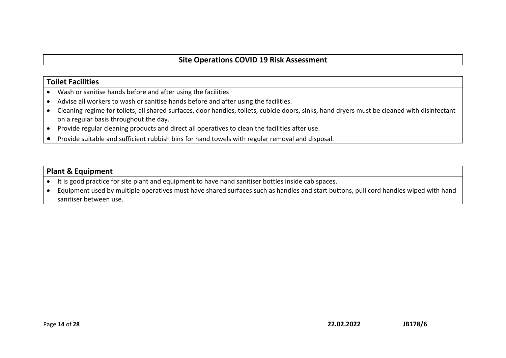### **Toilet Facilities**

- Wash or sanitise hands before and after using the facilities
- Advise all workers to wash or sanitise hands before and after using the facilities.
- Cleaning regime for toilets, all shared surfaces, door handles, toilets, cubicle doors, sinks, hand dryers must be cleaned with disinfectant on a regular basis throughout the day.
- Provide regular cleaning products and direct all operatives to clean the facilities after use.
- Provide suitable and sufficient rubbish bins for hand towels with regular removal and disposal.

## **Plant & Equipment**

- It is good practice for site plant and equipment to have hand sanitiser bottles inside cab spaces.
- Equipment used by multiple operatives must have shared surfaces such as handles and start buttons, pull cord handles wiped with hand sanitiser between use.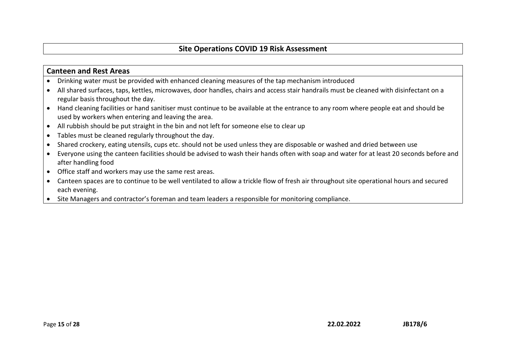#### **Canteen and Rest Areas**

- Drinking water must be provided with enhanced cleaning measures of the tap mechanism introduced
- All shared surfaces, taps, kettles, microwaves, door handles, chairs and access stair handrails must be cleaned with disinfectant on a regular basis throughout the day.
- Hand cleaning facilities or hand sanitiser must continue to be available at the entrance to any room where people eat and should be used by workers when entering and leaving the area.
- All rubbish should be put straight in the bin and not left for someone else to clear up
- Tables must be cleaned regularly throughout the day.
- Shared crockery, eating utensils, cups etc. should not be used unless they are disposable or washed and dried between use
- Everyone using the canteen facilities should be advised to wash their hands often with soap and water for at least 20 seconds before and after handling food
- Office staff and workers may use the same rest areas.
- Canteen spaces are to continue to be well ventilated to allow a trickle flow of fresh air throughout site operational hours and secured each evening.
- Site Managers and contractor's foreman and team leaders a responsible for monitoring compliance.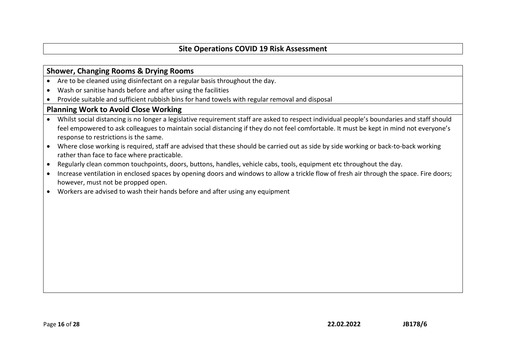#### **Shower, Changing Rooms & Drying Rooms**

- Are to be cleaned using disinfectant on a regular basis throughout the day.
- Wash or sanitise hands before and after using the facilities
- Provide suitable and sufficient rubbish bins for hand towels with regular removal and disposal

#### **Planning Work to Avoid Close Working**

- Whilst social distancing is no longer a legislative requirement staff are asked to respect individual people's boundaries and staff should feel empowered to ask colleagues to maintain social distancing if they do not feel comfortable. It must be kept in mind not everyone's response to restrictions is the same.
- Where close working is required, staff are advised that these should be carried out as side by side working or back-to-back working rather than face to face where practicable.
- Regularly clean common touchpoints, doors, buttons, handles, vehicle cabs, tools, equipment etc throughout the day.
- Increase ventilation in enclosed spaces by opening doors and windows to allow a trickle flow of fresh air through the space. Fire doors; however, must not be propped open.
- Workers are advised to wash their hands before and after using any equipment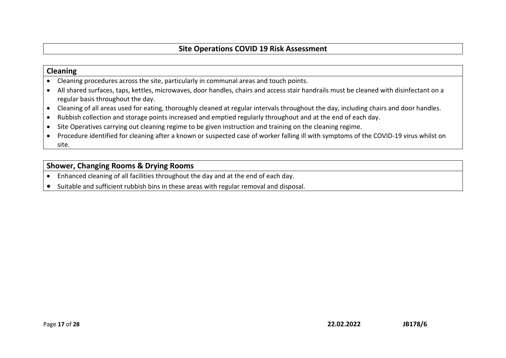#### **Cleaning**

- Cleaning procedures across the site, particularly in communal areas and touch points.
- All shared surfaces, taps, kettles, microwaves, door handles, chairs and access stair handrails must be cleaned with disinfectant on a regular basis throughout the day.
- Cleaning of all areas used for eating, thoroughly cleaned at regular intervals throughout the day, including chairs and door handles.
- Rubbish collection and storage points increased and emptied regularly throughout and at the end of each day.
- Site Operatives carrying out cleaning regime to be given instruction and training on the cleaning regime.
- Procedure identified for cleaning after a known or suspected case of worker falling ill with symptoms of the COVID-19 virus whilst on site.

#### **Shower, Changing Rooms & Drying Rooms**

- Enhanced cleaning of all facilities throughout the day and at the end of each day.
- Suitable and sufficient rubbish bins in these areas with regular removal and disposal.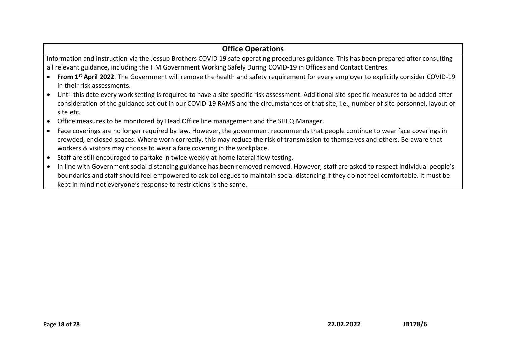## **Office Operations**

Information and instruction via the Jessup Brothers COVID 19 safe operating procedures guidance. This has been prepared after consulting all relevant guidance, including the HM Government Working Safely During COVID-19 in Offices and Contact Centres.

- **From 1st April 2022**. The Government will remove the health and safety requirement for every employer to explicitly consider COVID-19 in their risk assessments.
- Until this date every work setting is required to have a site-specific risk assessment. Additional site-specific measures to be added after consideration of the guidance set out in our COVID-19 RAMS and the circumstances of that site, i.e., number of site personnel, layout of site etc.
- Office measures to be monitored by Head Office line management and the SHEQ Manager.
- Face coverings are no longer required by law. However, the government recommends that people continue to wear face coverings in crowded, enclosed spaces. Where worn correctly, this may reduce the risk of transmission to themselves and others. Be aware that workers & visitors may choose to wear a face covering in the workplace.
- Staff are still encouraged to partake in twice weekly at home lateral flow testing.
- In line with Government social distancing guidance has been removed removed. However, staff are asked to respect individual people's boundaries and staff should feel empowered to ask colleagues to maintain social distancing if they do not feel comfortable. It must be kept in mind not everyone's response to restrictions is the same.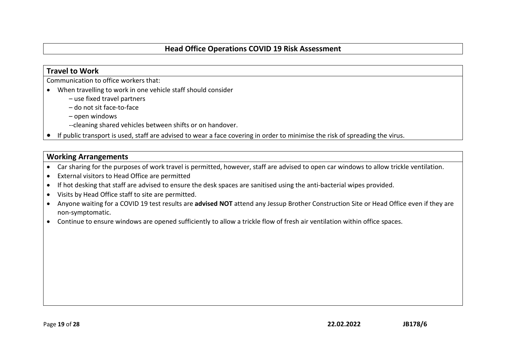### **Travel to Work**

Communication to office workers that:

- When travelling to work in one vehicle staff should consider
	- use fixed travel partners
	- do not sit face-to-face
	- open windows
	- --cleaning shared vehicles between shifts or on handover.
- If public transport is used, staff are advised to wear a face covering in order to minimise the risk of spreading the virus.

### **Working Arrangements**

- Car sharing for the purposes of work travel is permitted, however, staff are advised to open car windows to allow trickle ventilation.
- External visitors to Head Office are permitted
- If hot desking that staff are advised to ensure the desk spaces are sanitised using the anti-bacterial wipes provided.
- Visits by Head Office staff to site are permitted.
- Anyone waiting for a COVID 19 test results are **advised NOT** attend any Jessup Brother Construction Site or Head Office even if they are non-symptomatic.
- Continue to ensure windows are opened sufficiently to allow a trickle flow of fresh air ventilation within office spaces.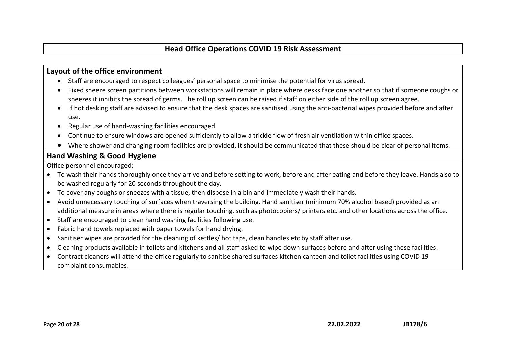#### **Layout of the office environment**

- Staff are encouraged to respect colleagues' personal space to minimise the potential for virus spread.
- Fixed sneeze screen partitions between workstations will remain in place where desks face one another so that if someone coughs or sneezes it inhibits the spread of germs. The roll up screen can be raised if staff on either side of the roll up screen agree.
- If hot desking staff are advised to ensure that the desk spaces are sanitised using the anti-bacterial wipes provided before and after use.
- Regular use of hand-washing facilities encouraged.
- Continue to ensure windows are opened sufficiently to allow a trickle flow of fresh air ventilation within office spaces.
- Where shower and changing room facilities are provided, it should be communicated that these should be clear of personal items.

## **Hand Washing & Good Hygiene**

Office personnel encouraged:

- To wash their hands thoroughly once they arrive and before setting to work, before and after eating and before they leave. Hands also to be washed regularly for 20 seconds throughout the day.
- To cover any coughs or sneezes with a tissue, then dispose in a bin and immediately wash their hands.
- Avoid unnecessary touching of surfaces when traversing the building. Hand sanitiser (minimum 70% alcohol based) provided as an additional measure in areas where there is regular touching, such as photocopiers/ printers etc. and other locations across the office.
- Staff are encouraged to clean hand washing facilities following use.
- Fabric hand towels replaced with paper towels for hand drying.
- Sanitiser wipes are provided for the cleaning of kettles/ hot taps, clean handles etc by staff after use.
- Cleaning products available in toilets and kitchens and all staff asked to wipe down surfaces before and after using these facilities.
- Contract cleaners will attend the office regularly to sanitise shared surfaces kitchen canteen and toilet facilities using COVID 19 complaint consumables.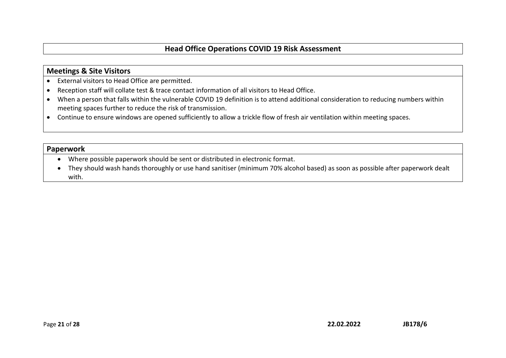#### **Meetings & Site Visitors**

- External visitors to Head Office are permitted.
- Reception staff will collate test & trace contact information of all visitors to Head Office.
- When a person that falls within the vulnerable COVID 19 definition is to attend additional consideration to reducing numbers within meeting spaces further to reduce the risk of transmission.
- Continue to ensure windows are opened sufficiently to allow a trickle flow of fresh air ventilation within meeting spaces.

#### **Paperwork**

- Where possible paperwork should be sent or distributed in electronic format.
- They should wash hands thoroughly or use hand sanitiser (minimum 70% alcohol based) as soon as possible after paperwork dealt with.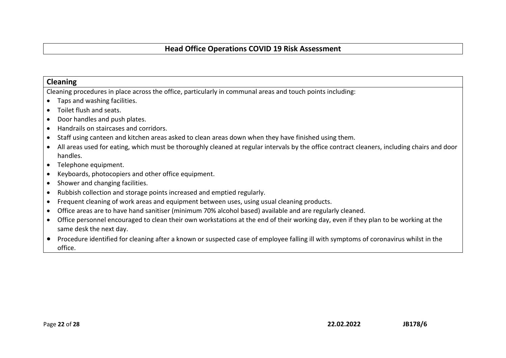#### **Cleaning**

Cleaning procedures in place across the office, particularly in communal areas and touch points including:

- Taps and washing facilities.
- Toilet flush and seats.
- Door handles and push plates.
- Handrails on staircases and corridors.
- Staff using canteen and kitchen areas asked to clean areas down when they have finished using them.
- All areas used for eating, which must be thoroughly cleaned at regular intervals by the office contract cleaners, including chairs and door handles.
- Telephone equipment.
- Keyboards, photocopiers and other office equipment.
- Shower and changing facilities.
- Rubbish collection and storage points increased and emptied regularly.
- Frequent cleaning of work areas and equipment between uses, using usual cleaning products.
- Office areas are to have hand sanitiser (minimum 70% alcohol based) available and are regularly cleaned.
- Office personnel encouraged to clean their own workstations at the end of their working day, even if they plan to be working at the same desk the next day.
- Procedure identified for cleaning after a known or suspected case of employee falling ill with symptoms of coronavirus whilst in the office.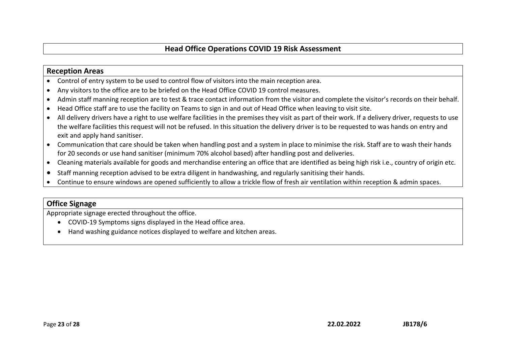#### **Reception Areas**

- Control of entry system to be used to control flow of visitors into the main reception area.
- Any visitors to the office are to be briefed on the Head Office COVID 19 control measures.
- Admin staff manning reception are to test & trace contact information from the visitor and complete the visitor's records on their behalf.
- Head Office staff are to use the facility on Teams to sign in and out of Head Office when leaving to visit site.
- All delivery drivers have a right to use welfare facilities in the premises they visit as part of their work. If a delivery driver, requests to use the welfare facilities this request will not be refused. In this situation the delivery driver is to be requested to was hands on entry and exit and apply hand sanitiser.
- Communication that care should be taken when handling post and a system in place to minimise the risk. Staff are to wash their hands for 20 seconds or use hand sanitiser (minimum 70% alcohol based) after handling post and deliveries.
- Cleaning materials available for goods and merchandise entering an office that are identified as being high risk i.e., country of origin etc.
- Staff manning reception advised to be extra diligent in handwashing, and regularly sanitising their hands.
- Continue to ensure windows are opened sufficiently to allow a trickle flow of fresh air ventilation within reception & admin spaces.

#### **Office Signage**

Appropriate signage erected throughout the office.

- COVID-19 Symptoms signs displayed in the Head office area.
- Hand washing guidance notices displayed to welfare and kitchen areas.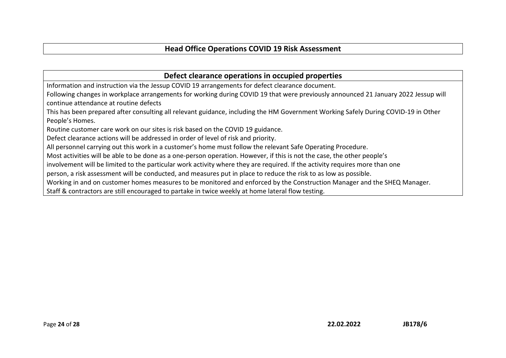**Defect clearance operations in occupied properties**

Information and instruction via the Jessup COVID 19 arrangements for defect clearance document.

Following changes in workplace arrangements for working during COVID 19 that were previously announced 21 January 2022 Jessup will continue attendance at routine defects

This has been prepared after consulting all relevant guidance, including the HM Government Working Safely During COVID-19 in Other People's Homes.

Routine customer care work on our sites is risk based on the COVID 19 guidance.

Defect clearance actions will be addressed in order of level of risk and priority.

All personnel carrying out this work in a customer's home must follow the relevant Safe Operating Procedure.

Most activities will be able to be done as a one-person operation. However, if this is not the case, the other people's

involvement will be limited to the particular work activity where they are required. If the activity requires more than one

person, a risk assessment will be conducted, and measures put in place to reduce the risk to as low as possible.

Working in and on customer homes measures to be monitored and enforced by the Construction Manager and the SHEQ Manager.

Staff & contractors are still encouraged to partake in twice weekly at home lateral flow testing.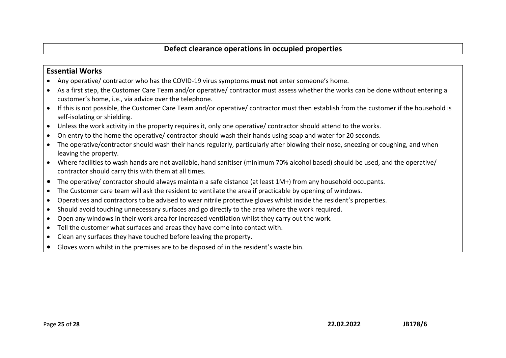### **Essential Works**

- Any operative/ contractor who has the COVID-19 virus symptoms **must not** enter someone's home.
- As a first step, the Customer Care Team and/or operative/ contractor must assess whether the works can be done without entering a customer's home, i.e., via advice over the telephone.
- If this is not possible, the Customer Care Team and/or operative/ contractor must then establish from the customer if the household is self-isolating or shielding.
- Unless the work activity in the property requires it, only one operative/ contractor should attend to the works.
- On entry to the home the operative/ contractor should wash their hands using soap and water for 20 seconds.
- The operative/contractor should wash their hands regularly, particularly after blowing their nose, sneezing or coughing, and when leaving the property.
- Where facilities to wash hands are not available, hand sanitiser (minimum 70% alcohol based) should be used, and the operative/ contractor should carry this with them at all times.
- The operative/ contractor should always maintain a safe distance (at least 1M+) from any household occupants.
- The Customer care team will ask the resident to ventilate the area if practicable by opening of windows.
- Operatives and contractors to be advised to wear nitrile protective gloves whilst inside the resident's properties.
- Should avoid touching unnecessary surfaces and go directly to the area where the work required.
- Open any windows in their work area for increased ventilation whilst they carry out the work.
- Tell the customer what surfaces and areas they have come into contact with.
- Clean any surfaces they have touched before leaving the property.
- Gloves worn whilst in the premises are to be disposed of in the resident's waste bin.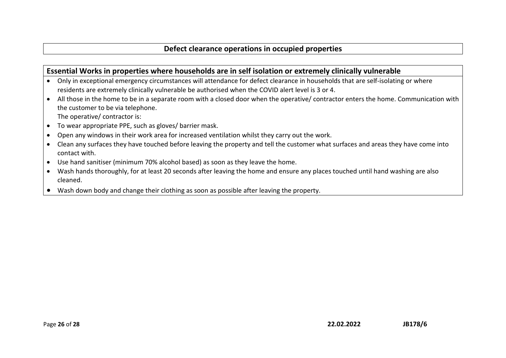### **Essential Works in properties where households are in self isolation or extremely clinically vulnerable**

- Only in exceptional emergency circumstances will attendance for defect clearance in households that are self-isolating or where residents are extremely clinically vulnerable be authorised when the COVID alert level is 3 or 4.
- All those in the home to be in a separate room with a closed door when the operative/ contractor enters the home. Communication with the customer to be via telephone. The operative/ contractor is:
- To wear appropriate PPE, such as gloves/ barrier mask.
- Open any windows in their work area for increased ventilation whilst they carry out the work.
- Clean any surfaces they have touched before leaving the property and tell the customer what surfaces and areas they have come into contact with.
- Use hand sanitiser (minimum 70% alcohol based) as soon as they leave the home.
- Wash hands thoroughly, for at least 20 seconds after leaving the home and ensure any places touched until hand washing are also cleaned.
- Wash down body and change their clothing as soon as possible after leaving the property.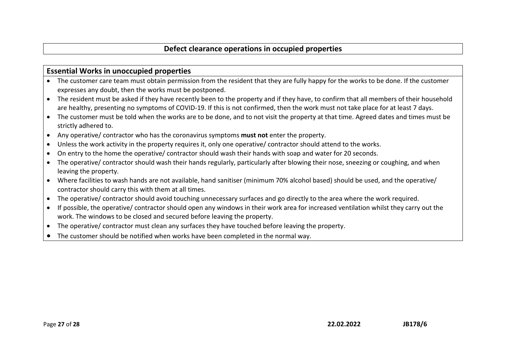#### **Essential Works in unoccupied properties**

- The customer care team must obtain permission from the resident that they are fully happy for the works to be done. If the customer expresses any doubt, then the works must be postponed.
- The resident must be asked if they have recently been to the property and if they have, to confirm that all members of their household are healthy, presenting no symptoms of COVID-19. If this is not confirmed, then the work must not take place for at least 7 days.
- The customer must be told when the works are to be done, and to not visit the property at that time. Agreed dates and times must be strictly adhered to.
- Any operative/ contractor who has the coronavirus symptoms **must not** enter the property.
- Unless the work activity in the property requires it, only one operative/ contractor should attend to the works.
- On entry to the home the operative/ contractor should wash their hands with soap and water for 20 seconds.
- The operative/ contractor should wash their hands regularly, particularly after blowing their nose, sneezing or coughing, and when leaving the property.
- Where facilities to wash hands are not available, hand sanitiser (minimum 70% alcohol based) should be used, and the operative/ contractor should carry this with them at all times.
- The operative/ contractor should avoid touching unnecessary surfaces and go directly to the area where the work required.
- If possible, the operative/ contractor should open any windows in their work area for increased ventilation whilst they carry out the work. The windows to be closed and secured before leaving the property.
- The operative/ contractor must clean any surfaces they have touched before leaving the property.
- The customer should be notified when works have been completed in the normal way.